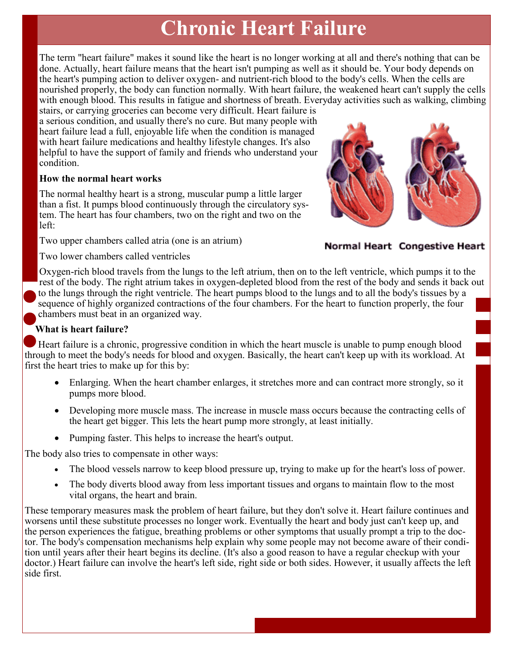# **Chronic Heart Failure**

The term "heart failure" makes it sound like the heart is no longer working at all and there's nothing that can be done. Actually, heart failure means that the heart isn't pumping as well as it should be. Your body depends on the heart's pumping action to deliver oxygen- and nutrient-rich blood to the body's cells. When the cells are nourished properly, the body can function normally. With heart failure, the weakened heart can't supply the cells with enough blood. This results in fatigue and shortness of breath. Everyday activities such as walking, climbing

stairs, or carrying groceries can become very difficult. Heart failure is a serious condition, and usually there's no cure. But many people with heart failure lead a full, enjoyable life when the condition is managed with heart failure medications and healthy lifestyle changes. It's also helpful to have the support of family and friends who understand your condition.

#### **How the normal heart works**

The normal healthy heart is a strong, muscular pump a little larger than a fist. It pumps blood continuously through the circulatory system. The heart has four chambers, two on the right and two on the left:

Two upper chambers called atria (one is an atrium)



Normal Heart Congestive Heart

Two lower chambers called ventricles

Oxygen-rich blood travels from the lungs to the left atrium, then on to the left ventricle, which pumps it to the rest of the body. The right atrium takes in oxygen-depleted blood from the rest of the body and sends it back out to the lungs through the right ventricle. The heart pumps blood to the lungs and to all the body's tissues by a sequence of highly organized contractions of the four chambers. For the heart to function properly, the four chambers must beat in an organized way.

#### **What is heart failure?**

Heart failure is a chronic, progressive condition in which the heart muscle is unable to pump enough blood through to meet the body's needs for blood and oxygen. Basically, the heart can't keep up with its workload. At first the heart tries to make up for this by:

- Enlarging. When the heart chamber enlarges, it stretches more and can contract more strongly, so it pumps more blood.
- Developing more muscle mass. The increase in muscle mass occurs because the contracting cells of the heart get bigger. This lets the heart pump more strongly, at least initially.
- Pumping faster. This helps to increase the heart's output.

The body also tries to compensate in other ways:

- The blood vessels narrow to keep blood pressure up, trying to make up for the heart's loss of power.
- The body diverts blood away from less important tissues and organs to maintain flow to the most vital organs, the heart and brain.

These temporary measures mask the problem of heart failure, but they don't solve it. Heart failure continues and worsens until these substitute processes no longer work. Eventually the heart and body just can't keep up, and the person experiences the fatigue, breathing problems or other symptoms that usually prompt a trip to the doctor. The body's compensation mechanisms help explain why some people may not become aware of their condition until years after their heart begins its decline. (It's also a good reason to have a regular checkup with your doctor.) Heart failure can involve the heart's left side, right side or both sides. However, it usually affects the left side first.